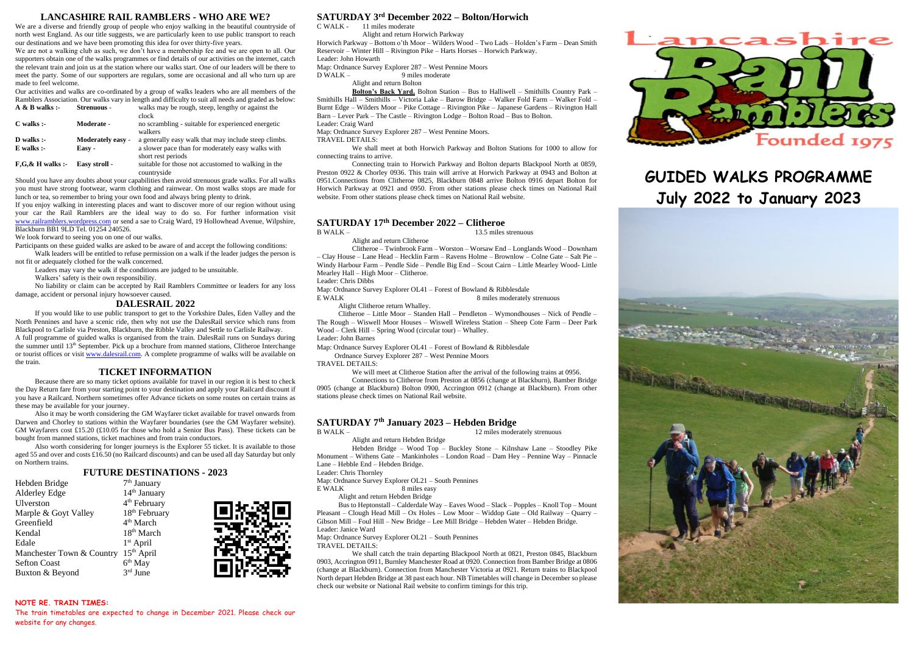#### **LANCASHIRE RAIL RAMBLERS - WHO ARE WE?**

We are a diverse and friendly group of people who enjoy walking in the beautiful countryside of north west England. As our title suggests, we are particularly keen to use public transport to reach our destinations and we have been promoting this idea for over thirty-five years.

We are not a walking club as such, we don't have a membership fee and we are open to all. Our supporters obtain one of the walks programmes or find details of our activities on the internet, catch the relevant train and join us at the station where our walks start. One of our leaders will be there to meet the party. Some of our supporters are regulars, some are occasional and all who turn up are made to feel welcome.

Our activities and walks are co-ordinated by a group of walks leaders who are all members of the Ramblers Association. Our walks vary in length and difficulty to suit all needs and graded as below:<br>A & R walks :<br> $\overline{X}$  Streamons . walks may be rough steen lengthy or against the walks may be rough, steep, lengthy or against the

| $\sim$ $\omega$ $\omega$ wains. |                          | waiks may be rough, sucep, religiny of against the   |
|---------------------------------|--------------------------|------------------------------------------------------|
|                                 |                          | clock                                                |
| $C$ walks :-                    | Moderate -               | no scrambling - suitable for experienced energetic   |
|                                 |                          | walkers                                              |
| $D$ walks :-                    | <b>Moderately easy -</b> | a generally easy walk that may include steep climbs. |
| $E$ walks $:$                   | Easy -                   | a slower pace than for moderately easy walks with    |
|                                 |                          | short rest periods                                   |
| $F,G,\& H$ walks :-             | Easy stroll -            | suitable for those not accustomed to walking in the  |
|                                 |                          | countryside                                          |
|                                 |                          |                                                      |

Should you have any doubts about your capabilities then avoid strenuous grade walks. For all walks you must have strong footwear, warm clothing and rainwear. On most walks stops are made for lunch or tea, so remember to bring your own food and always bring plenty to drink.

If you enjoy walking in interesting places and want to discover more of our region without using your car the Rail Ramblers are the ideal way to do so. For further information visit [www.railramblers.wordpress.com](http://www.railramblers.wordpress.com/) or send a sae to Craig Ward, 19 Hollowhead Avenue, Wilpshire, Blackburn BB1 9LD Tel. 01254 240526.

We look forward to seeing you on one of our walks.

Participants on these guided walks are asked to be aware of and accept the following conditions: Walk leaders will be entitled to refuse permission on a walk if the leader judges the person is

not fit or adequately clothed for the walk concerned.

Leaders may vary the walk if the conditions are judged to be unsuitable.

Walkers' safety is their own responsibility.

No liability or claim can be accepted by Rail Ramblers Committee or leaders for any loss damage, accident or personal injury howsoever caused.

#### **DALESRAIL 2022**

If you would like to use public transport to get to the Yorkshire Dales, Eden Valley and the North Pennines and have a scenic ride, then why not use the DalesRail service which runs from Blackpool to Carlisle via Preston, Blackburn, the Ribble Valley and Settle to Carlisle Railway. A full programme of guided walks is organised from the train. DalesRail runs on Sundays during the summer until 13th September. Pick up a brochure from manned stations, Clitheroe Interchange or tourist offices or visi[t www.dalesrail.com.](http://www.dalesrail.com/) A complete programme of walks will be available on the train.

#### **TICKET INFORMATION**

Because there are so many ticket options available for travel in our region it is best to check the Day Return fare from your starting point to your destination and apply your Railcard discount if you have a Railcard. Northern sometimes offer Advance tickets on some routes on certain trains as these may be available for your journey.

Also it may be worth considering the GM Wayfarer ticket available for travel onwards from Darwen and Chorley to stations within the Wayfarer boundaries (see the GM Wayfarer website). GM Wayfarers cost £15.20 (£10.05 for those who hold a Senior Bus Pass). These tickets can be bought from manned stations, ticket machines and from train conductors.

Also worth considering for longer journeys is the Explorer 55 ticket. It is available to those aged 55 and over and costs £16.50 (no Railcard discounts) and can be used all day Saturday but only on Northern trains.

#### **FUTURE DESTINATIONS - 2023**

| Hebden Bridge             | 7 <sup>th</sup> January   |
|---------------------------|---------------------------|
| Alderley Edge             | 14 <sup>th</sup> January  |
| Ulverston                 | 4 <sup>th</sup> February  |
| Marple & Goyt Valley      | 18 <sup>th</sup> February |
| Greenfield                | 4 <sup>th</sup> March     |
| Kendal                    | $18th$ March              |
| Edale                     | $1st$ April               |
| Manchester Town & Country | $15th$ April              |
| <b>Sefton Coast</b>       | 6 <sup>th</sup> May       |
| Buxton & Beyond           | $3rd$ June                |

**NOTE RE. TRAIN TIMES:**

## **SATURDAY 3 rd December 2022 – Bolton/Horwich**

C WALK - 11 miles moderate

Alight and return Horwich Parkway

Horwich Parkway – Bottom o'th Moor – Wilders Wood – Two Lads – Holden's Farm – Dean Smith Reservoir – Winter Hill – Rivington Pike – Harts Horses – Horwich Parkway. Leader: John Howarth

Map: Ordnance Survey Explorer 287 – West Pennine Moors<br>D WALK – 9 miles moderate

0 miles moderate

Alight and return Bolton

**Bolton's Back Yard.** Bolton Station – Bus to Halliwell – Smithills Country Park – Smithills Hall – Smithills – Victoria Lake – Barow Bridge – Walker Fold Farm – Walker Fold – Burnt Edge – Wilders Moor – Pike Cottage – Rivington Pike – Japanese Gardens – Rivington Hall Barn – Lever Park – The Castle – Rivington Lodge – Bolton Road – Bus to Bolton. Leader: Craig Ward

Map: Ordnance Survey Explorer 287 – West Pennine Moors.

TRAVEL DETAILS:

We shall meet at both Horwich Parkway and Bolton Stations for 1000 to allow for connecting trains to arrive.

Connecting train to Horwich Parkway and Bolton departs Blackpool North at 0859, Preston 0922 & Chorley 0936. This train will arrive at Horwich Parkway at 0943 and Bolton at 0951.Connections from Clitheroe 0825, Blackburn 0848 arrive Bolton 0916 depart Bolton for Horwich Parkway at 0921 and 0950. From other stations please check times on National Rail website. From other stations please check times on National Rail website.

# **SATURDAY 17th December 2022 – Clitheroe**

Alight and return Clitheroe

Clitheroe – Twinbrook Farm – Worston – Worsaw End – Longlands Wood – Downham – Clay House – Lane Head – Hecklin Farm – Ravens Holme – Brownlow – Colne Gate – Salt Pie – Windy Harbour Farm – Pendle Side – Pendle Big End – Scout Cairn – Little Mearley Wood- Little Mearley Hall – High Moor – Clitheroe.

Leader: Chris Dibbs

Map: Ordnance Survey Explorer OL41 – Forest of Bowland & Ribblesdale E WALK 8 miles moderately strenuous

Alight Clitheroe return Whalley.

Clitheroe – Little Moor – Standen Hall – Pendleton – Wymondhouses – Nick of Pendle – The Rough – Wiswell Moor Houses – Wiswell Wireless Station – Sheep Cote Farm – Deer Park Wood – Clerk Hill – Spring Wood (circular tour) – Whalley.

Leader: John Barnes

Map: Ordnance Survey Explorer OL41 – Forest of Bowland & Ribblesdale

Ordnance Survey Explorer 287 – West Pennine Moors

TRAVEL DETAILS:

We will meet at Clitheroe Station after the arrival of the following trains at 0956.

Connections to Clitheroe from Preston at 0856 (change at Blackburn), Bamber Bridge 0905 (change at Blackburn) Bolton 0900, Accrington 0912 (change at Blackburn). From other stations please check times on National Rail website.

## **SATURDAY 7th January 2023 – Hebden Bridge**

Alight and return Hebden Bridge

12 miles moderately strenuous

13.5 miles strenuous

Hebden Bridge – Wood Top – Buckley Stone – Kilnshaw Lane – Stoodley Pike Monument – Withens Gate – Mankinholes – London Road – Dam Hey – Pennine Way – Pinnacle Lane – Hebble End – Hebden Bridge.

Leader: Chris Thornley

Map: Ordnance Survey Explorer OL21 – South Pennines<br>E WALK 8 miles easy

8 miles easy

Alight and return Hebden Bridge

Bus to Heptonstall – Calderdale Way – Eaves Wood – Slack – Popples – Knoll Top – Mount Pleasant – Clough Head Mill – Ox Holes – Low Moor – Widdop Gate – Old Railway – Quarry – Gibson Mill – Foul Hill – New Bridge – Lee Mill Bridge – Hebden Water – Hebden Bridge. Leader: Janice Ward

Map: Ordnance Survey Explorer OL21 – South Pennines

TRAVEL DETAILS:

We shall catch the train departing Blackpool North at 0821, Preston 0845, Blackburn 0903, Accrington 0911, Burnley Manchester Road at 0920. Connection from Bamber Bridge at 0806 (change at Blackburn). Connection from Manchester Victoria at 0921. Return trains to Blackpool North depart Hebden Bridge at 38 past each hour. NB Timetables will change in December so please check our website or National Rail website to confirm timings for this trip.



# **GUIDED WALKS PROGRAMME July 2022 to January 2023**



The train timetables are expected to change in December 2021. Please check our website for any changes.